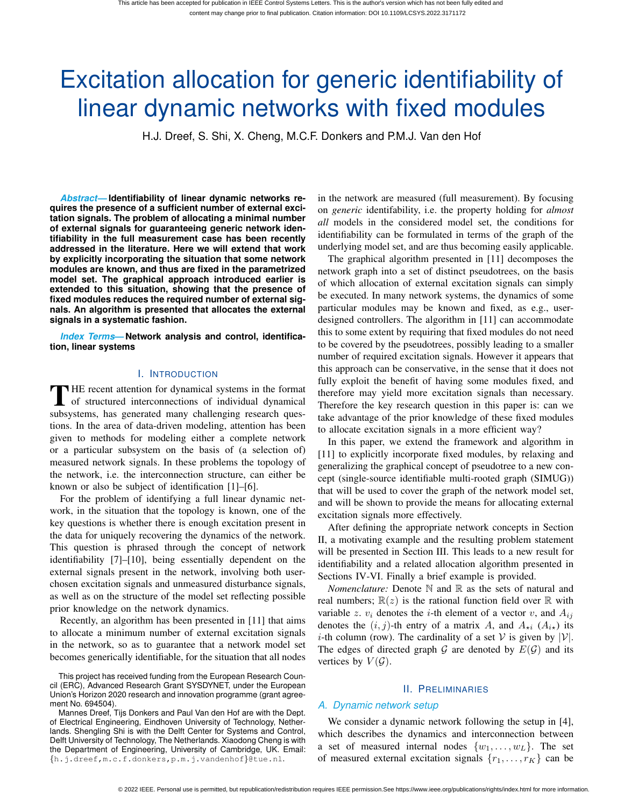# Excitation allocation for generic identifiability of linear dynamic networks with fixed modules

H.J. Dreef, S. Shi, X. Cheng, M.C.F. Donkers and P.M.J. Van den Hof

*Abstract***— Identifiability of linear dynamic networks requires the presence of a sufficient number of external excitation signals. The problem of allocating a minimal number of external signals for guaranteeing generic network identifiability in the full measurement case has been recently addressed in the literature. Here we will extend that work by explicitly incorporating the situation that some network modules are known, and thus are fixed in the parametrized model set. The graphical approach introduced earlier is extended to this situation, showing that the presence of fixed modules reduces the required number of external signals. An algorithm is presented that allocates the external signals in a systematic fashion.**

*Index Terms***— Network analysis and control, identification, linear systems**

# I. INTRODUCTION

THE recent attention for dynamical systems in the format<br>of structured interconnections of individual dynamical<br>when the second many dellerging geograph was  $\blacksquare$  HE recent attention for dynamical systems in the format subsystems, has generated many challenging research questions. In the area of data-driven modeling, attention has been given to methods for modeling either a complete network or a particular subsystem on the basis of (a selection of) measured network signals. In these problems the topology of the network, i.e. the interconnection structure, can either be known or also be subject of identification [1]–[6].

For the problem of identifying a full linear dynamic network, in the situation that the topology is known, one of the key questions is whether there is enough excitation present in the data for uniquely recovering the dynamics of the network. This question is phrased through the concept of network identifiability [7]–[10], being essentially dependent on the external signals present in the network, involving both userchosen excitation signals and unmeasured disturbance signals, as well as on the structure of the model set reflecting possible prior knowledge on the network dynamics.

Recently, an algorithm has been presented in [11] that aims to allocate a minimum number of external excitation signals in the network, so as to guarantee that a network model set becomes generically identifiable, for the situation that all nodes

Mannes Dreef, Tijs Donkers and Paul Van den Hof are with the Dept. of Electrical Engineering, Eindhoven University of Technology, Netherlands. Shengling Shi is with the Delft Center for Systems and Control, Delft University of Technology, The Netherlands. Xiaodong Cheng is with the Department of Engineering, University of Cambridge, UK. Email: {h.j.dreef,m.c.f.donkers,p.m.j.vandenhof}@tue.nl.

in the network are measured (full measurement). By focusing on *generic* identifability, i.e. the property holding for *almost all* models in the considered model set, the conditions for identifiability can be formulated in terms of the graph of the underlying model set, and are thus becoming easily applicable.

The graphical algorithm presented in [11] decomposes the network graph into a set of distinct pseudotrees, on the basis of which allocation of external excitation signals can simply be executed. In many network systems, the dynamics of some particular modules may be known and fixed, as e.g., userdesigned controllers. The algorithm in [11] can accommodate this to some extent by requiring that fixed modules do not need to be covered by the pseudotrees, possibly leading to a smaller number of required excitation signals. However it appears that this approach can be conservative, in the sense that it does not fully exploit the benefit of having some modules fixed, and therefore may yield more excitation signals than necessary. Therefore the key research question in this paper is: can we take advantage of the prior knowledge of these fixed modules to allocate excitation signals in a more efficient way?

In this paper, we extend the framework and algorithm in [11] to explicitly incorporate fixed modules, by relaxing and generalizing the graphical concept of pseudotree to a new concept (single-source identifiable multi-rooted graph (SIMUG)) that will be used to cover the graph of the network model set, and will be shown to provide the means for allocating external excitation signals more effectively.

After defining the appropriate network concepts in Section II, a motivating example and the resulting problem statement will be presented in Section III. This leads to a new result for identifiability and a related allocation algorithm presented in Sections IV-VI. Finally a brief example is provided.

*Nomenclature:* Denote N and R as the sets of natural and real numbers;  $\mathbb{R}(z)$  is the rational function field over  $\mathbb R$  with variable z.  $v_i$  denotes the *i*-th element of a vector v, and  $A_{ij}$ denotes the  $(i, j)$ -th entry of a matrix A, and  $A_{\star i}$   $(A_{i\star})$  its *i*-th column (row). The cardinality of a set V is given by  $|V|$ . The edges of directed graph  $G$  are denoted by  $E(G)$  and its vertices by  $V(\mathcal{G})$ .

# II. PRELIMINARIES

# *A. Dynamic network setup*

We consider a dynamic network following the setup in [4], which describes the dynamics and interconnection between a set of measured internal nodes  $\{w_1, \ldots, w_L\}$ . The set of measured external excitation signals  $\{r_1, \ldots, r_K\}$  can be

This project has received funding from the European Research Council (ERC), Advanced Research Grant SYSDYNET, under the European Union's Horizon 2020 research and innovation programme (grant agreement No. 694504).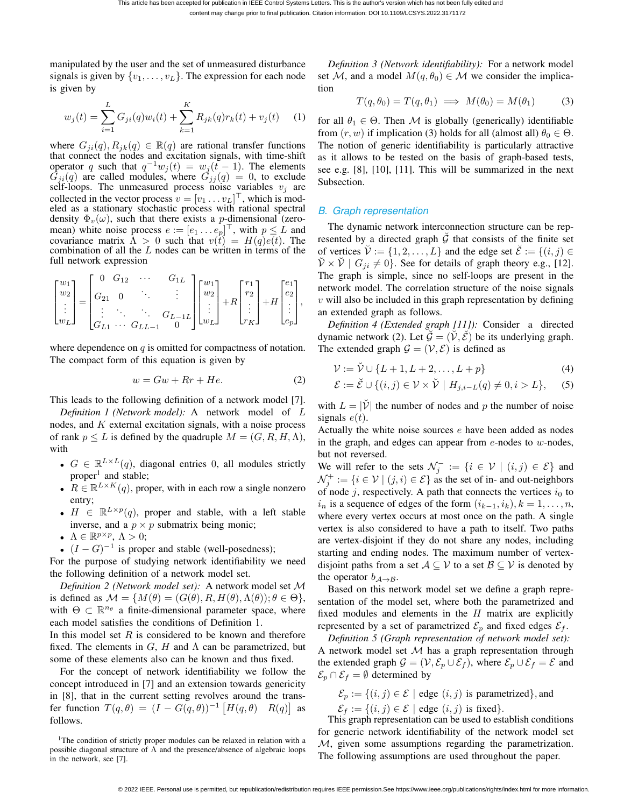manipulated by the user and the set of unmeasured disturbance signals is given by  $\{v_1, \ldots, v_L\}$ . The expression for each node is given by

$$
w_j(t) = \sum_{i=1}^{L} G_{ji}(q)w_i(t) + \sum_{k=1}^{K} R_{jk}(q)r_k(t) + v_j(t)
$$
 (1)

where  $G_{ji}(q), R_{jk}(q) \in \mathbb{R}(q)$  are rational transfer functions that connect the nodes and excitation signals, with time-shift operator q such that  $q^{-1}w_j(t) = w_j(t-1)$ . The elements  $G_{ji}(q)$  are called modules, where  $G_{jj}(q) = 0$ , to exclude self-loops. The unmeasured process noise variables  $v_j$  are collected in the vector process  $v = [v_1 \dots v_L]^\top$ , which is modeled as a stationary stochastic process with rational spectral density  $\Phi_v(\omega)$ , such that there exists a *p*-dimensional (zeromean) white noise process  $e := [e_1 \dots e_p]^\top$ , with  $p \leq L$  and covariance matrix  $\Lambda > 0$  such that  $v(t) = H(q)e(t)$ . The combination of all the  $L$  nodes can be written in terms of the full network expression

$$
\begin{bmatrix} w_1 \\ w_2 \\ \vdots \\ w_L \end{bmatrix} = \begin{bmatrix} 0 & G_{12} & \cdots & G_{1L} \\ G_{21} & 0 & \ddots & \vdots \\ \vdots & \ddots & \ddots & G_{L-1L} \\ G_{L1} & \cdots & G_{LL-1} & 0 \end{bmatrix} \begin{bmatrix} w_1 \\ w_2 \\ \vdots \\ w_L \end{bmatrix} + R \begin{bmatrix} r_1 \\ r_2 \\ \vdots \\ r_K \end{bmatrix} + H \begin{bmatrix} e_1 \\ e_2 \\ \vdots \\ e_p \end{bmatrix},
$$

where dependence on  $q$  is omitted for compactness of notation. The compact form of this equation is given by

$$
w = Gw + Rr + He.
$$
 (2)

This leads to the following definition of a network model [7].

*Definition 1 (Network model):* A network model of L nodes, and  $K$  external excitation signals, with a noise process of rank  $p \leq L$  is defined by the quadruple  $M = (G, R, H, \Lambda)$ , with

- $G \in \mathbb{R}^{L \times L}(q)$ , diagonal entries 0, all modules strictly proper<sup>1</sup> and stable;
- $R \in \mathbb{R}^{L \times K}(q)$ , proper, with in each row a single nonzero entry;
- $H \in \mathbb{R}^{L \times p}(q)$ , proper and stable, with a left stable inverse, and a  $p \times p$  submatrix being monic;
- $\Lambda \in \mathbb{R}^{p \times p}$ ,  $\Lambda > 0$ ;
- $(I G)^{-1}$  is proper and stable (well-posedness);

For the purpose of studying network identifiability we need the following definition of a network model set.

*Definition 2 (Network model set):* A network model set M is defined as  $\mathcal{M} = \{M(\theta) = (G(\theta), R, H(\theta), \Lambda(\theta)); \theta \in \Theta\},\$ with  $\Theta \subset \mathbb{R}^{n_{\theta}}$  a finite-dimensional parameter space, where each model satisfies the conditions of Definition 1.

In this model set  $R$  is considered to be known and therefore fixed. The elements in  $G$ ,  $H$  and  $\Lambda$  can be parametrized, but some of these elements also can be known and thus fixed.

For the concept of network identifiability we follow the concept introduced in [7] and an extension towards genericity in [8], that in the current setting revolves around the transfer function  $T(q, \theta) = (I - G(q, \theta))^{-1} [H(q, \theta) \ R(q)]$  as follows.

<sup>1</sup>The condition of strictly proper modules can be relaxed in relation with a possible diagonal structure of  $\Lambda$  and the presence/absence of algebraic loops in the network, see [7].

*Definition 3 (Network identifiability):* For a network model set M, and a model  $M(q, \theta_0) \in \mathcal{M}$  we consider the implication

$$
T(q, \theta_0) = T(q, \theta_1) \implies M(\theta_0) = M(\theta_1) \tag{3}
$$

for all  $\theta_1 \in \Theta$ . Then M is globally (generically) identifiable from  $(r, w)$  if implication (3) holds for all (almost all)  $\theta_0 \in \Theta$ . The notion of generic identifiability is particularly attractive as it allows to be tested on the basis of graph-based tests, see e.g. [8], [10], [11]. This will be summarized in the next Subsection.

## *B. Graph representation*

The dynamic network interconnection structure can be represented by a directed graph  $\check{G}$  that consists of the finite set of vertices  $\check{\mathcal{V}} := \{1, 2, \ldots, L\}$  and the edge set  $\check{\mathcal{E}} := \{(i, j) \in$  $\tilde{V} \times \tilde{V} \mid G_{ji} \neq 0$ . See for details of graph theory e.g., [12]. The graph is simple, since no self-loops are present in the network model. The correlation structure of the noise signals  $v$  will also be included in this graph representation by defining an extended graph as follows.

*Definition 4 (Extended graph [11]):* Consider a directed dynamic network (2). Let  $\check{G} = (\check{\mathcal{V}}, \check{\mathcal{E}})$  be its underlying graph. The extended graph  $\mathcal{G} = (\mathcal{V}, \mathcal{E})$  is defined as

$$
\mathcal{V} := \check{\mathcal{V}} \cup \{L+1, L+2, \dots, L+p\} \tag{4}
$$

$$
\mathcal{E} := \breve{\mathcal{E}} \cup \{ (i,j) \in \mathcal{V} \times \breve{\mathcal{V}} \mid H_{j,i-L}(q) \neq 0, i > L \}, \quad (5)
$$

with  $L = |\dot{V}|$  the number of nodes and p the number of noise signals  $e(t)$ .

Actually the white noise sources e have been added as nodes in the graph, and edges can appear from  $e$ -nodes to  $w$ -nodes, but not reversed.

We will refer to the sets  $\mathcal{N}_j^- := \{i \in \mathcal{V} \mid (i,j) \in \mathcal{E}\}\$  and  $\mathcal{N}_j^+ := \{i \in \mathcal{V} \mid (j, i) \in \mathcal{E}\}\$ as the set of in- and out-neighbors of node j, respectively. A path that connects the vertices  $i_0$  to  $i_n$  is a sequence of edges of the form  $(i_{k-1}, i_k)$ ,  $k = 1, \ldots, n$ , where every vertex occurs at most once on the path. A single vertex is also considered to have a path to itself. Two paths are vertex-disjoint if they do not share any nodes, including starting and ending nodes. The maximum number of vertexdisjoint paths from a set  $A \subseteq V$  to a set  $B \subseteq V$  is denoted by the operator  $b_{\mathcal{A}\rightarrow\mathcal{B}}$ .

Based on this network model set we define a graph representation of the model set, where both the parametrized and fixed modules and elements in the  $H$  matrix are explicitly represented by a set of parametrized  $\mathcal{E}_p$  and fixed edges  $\mathcal{E}_f$ .

*Definition 5 (Graph representation of network model set):* A network model set  $M$  has a graph representation through the extended graph  $\mathcal{G} = (\mathcal{V}, \mathcal{E}_p \cup \mathcal{E}_f)$ , where  $\mathcal{E}_p \cup \mathcal{E}_f = \mathcal{E}$  and  $\mathcal{E}_p \cap \mathcal{E}_f = \emptyset$  determined by

$$
\mathcal{E}_p := \{(i, j) \in \mathcal{E} \mid \text{edge } (i, j) \text{ is parametrized}\}, \text{and}
$$
  

$$
\mathcal{E}_f := \{(i, j) \in \mathcal{E} \mid \text{edge } (i, j) \text{ is fixed}\}.
$$

This graph representation can be used to establish conditions for generic network identifiability of the network model set M, given some assumptions regarding the parametrization. The following assumptions are used throughout the paper.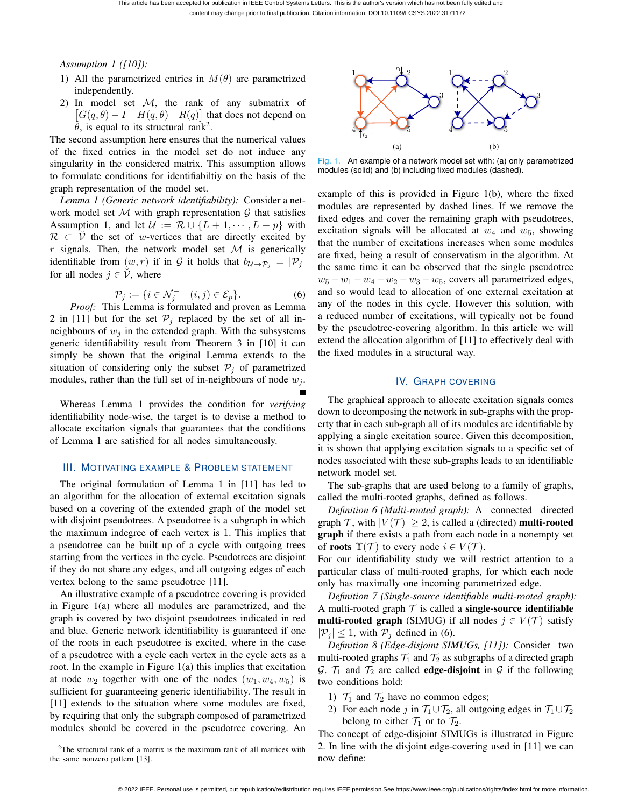*Assumption 1 ([10]):*

- 1) All the parametrized entries in  $M(\theta)$  are parametrized independently.
- 2) In model set M, the rank of any submatrix of  $[G(q, \theta) - I \quad H(q, \theta) \quad R(q)]$  that does not depend on  $\ddot{\theta}$ , is equal to its structural rank<sup>2</sup>.

The second assumption here ensures that the numerical values of the fixed entries in the model set do not induce any singularity in the considered matrix. This assumption allows to formulate conditions for identifiabiltiy on the basis of the graph representation of the model set.

*Lemma 1 (Generic network identifiability):* Consider a network model set  $M$  with graph representation  $G$  that satisfies Assumption 1, and let  $\mathcal{U} := \mathcal{R} \cup \{L+1, \dots, L+p\}$  with  $\mathcal{R} \subset \mathcal{V}$  the set of w-vertices that are directly excited by  $r$  signals. Then, the network model set  $\mathcal M$  is generically identifiable from  $(w, r)$  if in G it holds that  $b_{\mathcal{U} \rightarrow \mathcal{P}_j} = |\mathcal{P}_j|$ for all nodes  $j \in V$ , where

$$
\mathcal{P}_j := \{ i \in \mathcal{N}_j^- \mid (i,j) \in \mathcal{E}_p \}. \tag{6}
$$

*Proof:* This Lemma is formulated and proven as Lemma 2 in [11] but for the set  $P_j$  replaced by the set of all inneighbours of  $w_i$  in the extended graph. With the subsystems generic identifiability result from Theorem 3 in [10] it can simply be shown that the original Lemma extends to the situation of considering only the subset  $\mathcal{P}_i$  of parametrized modules, rather than the full set of in-neighbours of node  $w_i$ .

Whereas Lemma 1 provides the condition for *verifying* identifiability node-wise, the target is to devise a method to allocate excitation signals that guarantees that the conditions of Lemma 1 are satisfied for all nodes simultaneously.

## III. MOTIVATING EXAMPLE & PROBLEM STATEMENT

The original formulation of Lemma 1 in [11] has led to an algorithm for the allocation of external excitation signals based on a covering of the extended graph of the model set with disjoint pseudotrees. A pseudotree is a subgraph in which the maximum indegree of each vertex is 1. This implies that a pseudotree can be built up of a cycle with outgoing trees starting from the vertices in the cycle. Pseudotrees are disjoint if they do not share any edges, and all outgoing edges of each vertex belong to the same pseudotree [11].

An illustrative example of a pseudotree covering is provided in Figure 1(a) where all modules are parametrized, and the graph is covered by two disjoint pseudotrees indicated in red and blue. Generic network identifiability is guaranteed if one of the roots in each pseudotree is excited, where in the case of a pseudotree with a cycle each vertex in the cycle acts as a root. In the example in Figure 1(a) this implies that excitation at node  $w_2$  together with one of the nodes  $(w_1, w_4, w_5)$  is sufficient for guaranteeing generic identifiability. The result in [11] extends to the situation where some modules are fixed, by requiring that only the subgraph composed of parametrized modules should be covered in the pseudotree covering. An



 $r<sub>2</sub>$ 

 $\sim$   $\lambda^2$ 

 $r_1$ 

 $4\sqrt{5}$ 

 $(a)$ 

modules are represented by dashed lines. If we remove the fixed edges and cover the remaining graph with pseudotrees, excitation signals will be allocated at  $w_4$  and  $w_5$ , showing that the number of excitations increases when some modules are fixed, being a result of conservatism in the algorithm. At the same time it can be observed that the single pseudotree  $w_5 - w_1 - w_4 - w_2 - w_3 - w_5$ , covers all parametrized edges, and so would lead to allocation of one external excitation at any of the nodes in this cycle. However this solution, with a reduced number of excitations, will typically not be found by the pseudotree-covering algorithm. In this article we will extend the allocation algorithm of [11] to effectively deal with the fixed modules in a structural way.

3

 $\sim$   $\sim$   $^2$ 

 $4^{\circ}$   $\frac{1}{5}$ 

(b)

3

# IV. GRAPH COVERING

The graphical approach to allocate excitation signals comes down to decomposing the network in sub-graphs with the property that in each sub-graph all of its modules are identifiable by applying a single excitation source. Given this decomposition, it is shown that applying excitation signals to a specific set of nodes associated with these sub-graphs leads to an identifiable network model set.

The sub-graphs that are used belong to a family of graphs, called the multi-rooted graphs, defined as follows.

*Definition 6 (Multi-rooted graph):* A connected directed graph  $\mathcal{T}$ , with  $|V(\mathcal{T})| \geq 2$ , is called a (directed) **multi-rooted graph** if there exists a path from each node in a nonempty set of **roots**  $\Upsilon(\mathcal{T})$  to every node  $i \in V(\mathcal{T})$ .

For our identifiability study we will restrict attention to a particular class of multi-rooted graphs, for which each node only has maximally one incoming parametrized edge.

*Definition 7 (Single-source identifiable multi-rooted graph):* A multi-rooted graph  $\mathcal T$  is called a **single-source identifiable multi-rooted graph** (SIMUG) if all nodes  $j \in V(\mathcal{T})$  satisfy  $|\mathcal{P}_i| \leq 1$ , with  $\mathcal{P}_i$  defined in (6).

*Definition 8 (Edge-disjoint SIMUGs, [11]):* Consider two multi-rooted graphs  $T_1$  and  $T_2$  as subgraphs of a directed graph G.  $\mathcal{T}_1$  and  $\mathcal{T}_2$  are called **edge-disjoint** in G if the following two conditions hold:

- 1)  $\mathcal{T}_1$  and  $\mathcal{T}_2$  have no common edges;
- 2) For each node j in  $\mathcal{T}_1 \cup \mathcal{T}_2$ , all outgoing edges in  $\mathcal{T}_1 \cup \mathcal{T}_2$ belong to either  $\mathcal{T}_1$  or to  $\mathcal{T}_2$ .

The concept of edge-disjoint SIMUGs is illustrated in Figure 2. In line with the disjoint edge-covering used in [11] we can now define:

<sup>2</sup>The structural rank of a matrix is the maximum rank of all matrices with the same nonzero pattern [13].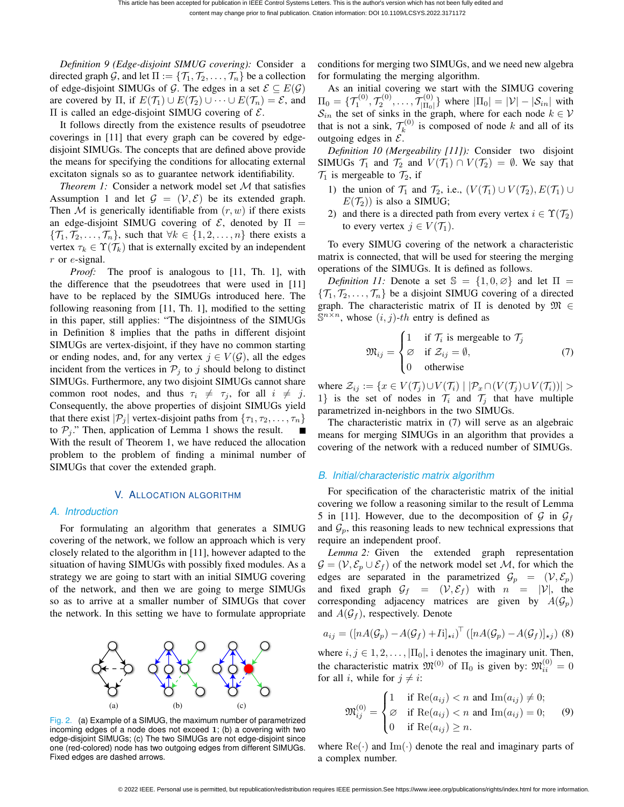*Definition 9 (Edge-disjoint SIMUG covering):* Consider a directed graph G, and let  $\Pi := \{\mathcal{T}_1, \mathcal{T}_2, \ldots, \mathcal{T}_n\}$  be a collection of edge-disjoint SIMUGs of G. The edges in a set  $\mathcal{E} \subseteq E(\mathcal{G})$ are covered by Π, if  $E(\mathcal{T}_1) \cup E(\mathcal{T}_2) \cup \cdots \cup E(\mathcal{T}_n) = \mathcal{E}$ , and Π is called an edge-disjoint SIMUG covering of E.

It follows directly from the existence results of pseudotree coverings in [11] that every graph can be covered by edgedisjoint SIMUGs. The concepts that are defined above provide the means for specifying the conditions for allocating external excitaton signals so as to guarantee network identifiability.

*Theorem 1:* Consider a network model set M that satisfies Assumption 1 and let  $\mathcal{G} = (\mathcal{V}, \mathcal{E})$  be its extended graph. Then  $M$  is generically identifiable from  $(r, w)$  if there exists an edge-disjoint SIMUG covering of  $\mathcal{E}$ , denoted by  $\Pi$  =  ${\mathcal{T}_1, \mathcal{T}_2, \ldots, \mathcal{T}_n}$ , such that  $\forall k \in \{1, 2, \ldots, n\}$  there exists a vertex  $\tau_k \in \Upsilon(\mathcal{T}_k)$  that is externally excited by an independent  $r$  or  $e$ -signal.

*Proof:* The proof is analogous to [11, Th. 1], with the difference that the pseudotrees that were used in [11] have to be replaced by the SIMUGs introduced here. The following reasoning from [11, Th. 1], modified to the setting in this paper, still applies: "The disjointness of the SIMUGs in Definition 8 implies that the paths in different disjoint SIMUGs are vertex-disjoint, if they have no common starting or ending nodes, and, for any vertex  $j \in V(\mathcal{G})$ , all the edges incident from the vertices in  $\mathcal{P}_j$  to j should belong to distinct SIMUGs. Furthermore, any two disjoint SIMUGs cannot share common root nodes, and thus  $\tau_i \neq \tau_j$ , for all  $i \neq j$ . Consequently, the above properties of disjoint SIMUGs yield that there exist  $|\mathcal{P}_i|$  vertex-disjoint paths from  $\{\tau_1, \tau_2, \ldots, \tau_n\}$ to  $P_i$ ." Then, application of Lemma 1 shows the result. With the result of Theorem 1, we have reduced the allocation problem to the problem of finding a minimal number of SIMUGs that cover the extended graph.

## V. ALLOCATION ALGORITHM

#### *A. Introduction*

For formulating an algorithm that generates a SIMUG covering of the network, we follow an approach which is very closely related to the algorithm in [11], however adapted to the situation of having SIMUGs with possibly fixed modules. As a strategy we are going to start with an initial SIMUG covering of the network, and then we are going to merge SIMUGs so as to arrive at a smaller number of SIMUGs that cover the network. In this setting we have to formulate appropriate



Fig. 2. (a) Example of a SIMUG, the maximum number of parametrized incoming edges of a node does not exceed 1; (b) a covering with two edge-disjoint SIMUGs; (c) The two SIMUGs are not edge-disjoint since one (red-colored) node has two outgoing edges from different SIMUGs. Fixed edges are dashed arrows.

conditions for merging two SIMUGs, and we need new algebra for formulating the merging algorithm.

As an initial covering we start with the SIMUG covering  $\Pi_0 = \{ \mathcal{T}^{(0)}_1, \mathcal{T}^{(0)}_2, \ldots, \mathcal{T}^{(0)}_{|\Pi_0} \}$  $|\Pi_{0}|^{\text{U}}$  where  $|\Pi_{0}| = |\mathcal{V}| - |\mathcal{S}_{in}|$  with  $\mathcal{S}_{in}$  the set of sinks in the graph, where for each node  $k \in \mathcal{V}$ that is not a sink,  $\mathcal{T}_k^{(0)}$  is composed of node k and all of its outgoing edges in  $E$ .

*Definition 10 (Mergeability [11]):* Consider two disjoint SIMUGs  $\mathcal{T}_1$  and  $\mathcal{T}_2$  and  $V(\mathcal{T}_1) \cap V(\mathcal{T}_2) = \emptyset$ . We say that  $\mathcal{T}_1$  is mergeable to  $\mathcal{T}_2$ , if

- 1) the union of  $\mathcal{T}_1$  and  $\mathcal{T}_2$ , i.e.,  $(V(\mathcal{T}_1) \cup V(\mathcal{T}_2), E(\mathcal{T}_1) \cup$  $E(\mathcal{T}_2)$ ) is also a SIMUG;
- 2) and there is a directed path from every vertex  $i \in \Upsilon(\mathcal{T}_2)$ to every vertex  $j \in V(\mathcal{T}_1)$ .

To every SIMUG covering of the network a characteristic matrix is connected, that will be used for steering the merging operations of the SIMUGs. It is defined as follows.

*Definition 11:* Denote a set  $\mathbb{S} = \{1,0,\emptyset\}$  and let  $\Pi$  =  $\{\mathcal{T}_1, \mathcal{T}_2, \ldots, \mathcal{T}_n\}$  be a disjoint SIMUG covering of a directed graph. The characteristic matrix of  $\Pi$  is denoted by  $\mathfrak{M} \in$  $\mathbb{S}^{n \times n}$ , whose  $(i, j)$ -th entry is defined as

$$
\mathfrak{M}_{ij} = \begin{cases} 1 & \text{if } \mathcal{T}_i \text{ is mergeable to } \mathcal{T}_j \\ \varnothing & \text{if } \mathcal{Z}_{ij} = \emptyset, \\ 0 & \text{otherwise} \end{cases}
$$
(7)

where  $\mathcal{Z}_{ij} := \{x \in V(\mathcal{T}_j) \cup V(\mathcal{T}_i) \mid |\mathcal{P}_x \cap (V(\mathcal{T}_j) \cup V(\mathcal{T}_i))| >$ 1} is the set of nodes in  $\mathcal{T}_i$  and  $\mathcal{T}_j$  that have multiple parametrized in-neighbors in the two SIMUGs.

The characteristic matrix in (7) will serve as an algebraic means for merging SIMUGs in an algorithm that provides a covering of the network with a reduced number of SIMUGs.

### *B. Initial/characteristic matrix algorithm*

For specification of the characteristic matrix of the initial covering we follow a reasoning similar to the result of Lemma 5 in [11]. However, due to the decomposition of  $G$  in  $G_f$ and  $\mathcal{G}_n$ , this reasoning leads to new technical expressions that require an independent proof.

*Lemma 2:* Given the extended graph representation  $\mathcal{G} = (\mathcal{V}, \mathcal{E}_p \cup \mathcal{E}_f)$  of the network model set M, for which the edges are separated in the parametrized  $\mathcal{G}_p = (\mathcal{V}, \mathcal{E}_p)$ and fixed graph  $\mathcal{G}_f = (\mathcal{V}, \mathcal{E}_f)$  with  $n = |\mathcal{V}|$ , the corresponding adjacency matrices are given by  $A(\mathcal{G}_p)$ and  $A(\mathcal{G}_f)$ , respectively. Denote

$$
a_{ij} = \left( [nA(\mathcal{G}_p) - A(\mathcal{G}_f) + I)]_{\star i} \right)^{\top} \left( [nA(\mathcal{G}_p) - A(\mathcal{G}_f)]_{\star j} \right)
$$
 (8)

where  $i, j \in 1, 2, \ldots, |\Pi_0|$ , i denotes the imaginary unit. Then, the characteristic matrix  $\mathfrak{M}^{(0)}$  of  $\Pi_0$  is given by:  $\mathfrak{M}_{ii}^{(0)} = 0$ for all *i*, while for  $j \neq i$ :

$$
\mathfrak{M}_{ij}^{(0)} = \begin{cases} 1 & \text{if } \operatorname{Re}(a_{ij}) < n \text{ and } \operatorname{Im}(a_{ij}) \neq 0; \\ \varnothing & \text{if } \operatorname{Re}(a_{ij}) < n \text{ and } \operatorname{Im}(a_{ij}) = 0; \\ 0 & \text{if } \operatorname{Re}(a_{ij}) \geq n. \end{cases}
$$
 (9)

where  $\text{Re}(\cdot)$  and  $\text{Im}(\cdot)$  denote the real and imaginary parts of a complex number.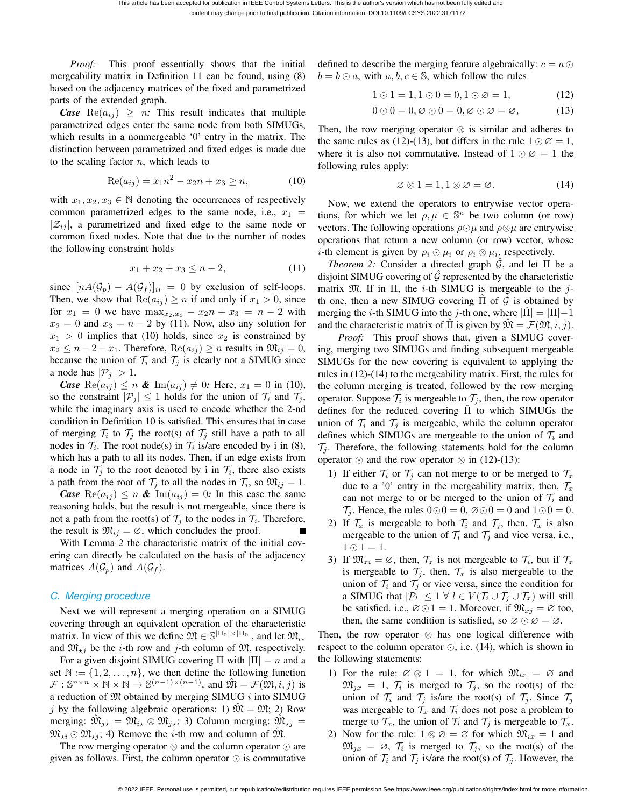*Proof:* This proof essentially shows that the initial mergeability matrix in Definition 11 can be found, using (8) based on the adjacency matrices of the fixed and parametrized parts of the extended graph.

*Case*  $\text{Re}(a_{ij}) \geq n$ . This result indicates that multiple parametrized edges enter the same node from both SIMUGs, which results in a nonmergeable '0' entry in the matrix. The distinction between parametrized and fixed edges is made due to the scaling factor  $n$ , which leads to

$$
Re(a_{ij}) = x_1 n^2 - x_2 n + x_3 \ge n,
$$
\n(10)

with  $x_1, x_2, x_3 \in \mathbb{N}$  denoting the occurrences of respectively common parametrized edges to the same node, i.e.,  $x_1 =$  $|\mathcal{Z}_{ij}|$ , a parametrized and fixed edge to the same node or common fixed nodes. Note that due to the number of nodes the following constraint holds

$$
x_1 + x_2 + x_3 \le n - 2,\tag{11}
$$

since  $[nA(\mathcal{G}_p) - A(\mathcal{G}_f)]_{ii} = 0$  by exclusion of self-loops. Then, we show that  $\text{Re}(a_{ij}) \geq n$  if and only if  $x_1 > 0$ , since for  $x_1 = 0$  we have  $\max_{x_2, x_3} -x_2n + x_3 = n-2$  with  $x_2 = 0$  and  $x_3 = n - 2$  by (11). Now, also any solution for  $x_1 > 0$  implies that (10) holds, since  $x_2$  is constrained by  $x_2 \leq n-2-x_1$ . Therefore,  $\text{Re}(a_{ij}) \geq n$  results in  $\mathfrak{M}_{ij} = 0$ , because the union of  $\mathcal{T}_i$  and  $\mathcal{T}_j$  is clearly not a SIMUG since a node has  $|\mathcal{P}_j| > 1$ .

*Case*  $\text{Re}(a_{ij}) \le n$  **&**  $\text{Im}(a_{ij}) \ne 0$ *:* Here,  $x_1 = 0$  in (10), so the constraint  $|\mathcal{P}_i| \leq 1$  holds for the union of  $\mathcal{T}_i$  and  $\mathcal{T}_j$ , while the imaginary axis is used to encode whether the 2-nd condition in Definition 10 is satisfied. This ensures that in case of merging  $\mathcal{T}_i$  to  $\mathcal{T}_j$  the root(s) of  $\mathcal{T}_j$  still have a path to all nodes in  $\mathcal{T}_i$ . The root node(s) in  $\mathcal{T}_i$  is/are encoded by i in (8), which has a path to all its nodes. Then, if an edge exists from a node in  $\mathcal{T}_j$  to the root denoted by i in  $\mathcal{T}_i$ , there also exists a path from the root of  $\mathcal{T}_j$  to all the nodes in  $\mathcal{T}_i$ , so  $\mathfrak{M}_{ij} = 1$ .

*Case*  $\text{Re}(a_{ij}) \leq n$  &  $\text{Im}(a_{ij}) = 0$ *:* In this case the same reasoning holds, but the result is not mergeable, since there is not a path from the root(s) of  $\mathcal{T}_j$  to the nodes in  $\mathcal{T}_i$ . Therefore, the result is  $\mathfrak{M}_{ij} = \emptyset$ , which concludes the proof.

With Lemma 2 the characteristic matrix of the initial covering can directly be calculated on the basis of the adjacency matrices  $A(\mathcal{G}_p)$  and  $A(\mathcal{G}_f)$ .

# *C. Merging procedure*

Next we will represent a merging operation on a SIMUG covering through an equivalent operation of the characteristic matrix. In view of this we define  $\mathfrak{M} \in \mathbb{S}^{|\Pi_0| \times |\Pi_0|}$ , and let  $\mathfrak{M}_{i*}$ and  $\mathfrak{M}_{\star i}$  be the *i*-th row and *j*-th column of  $\mathfrak{M}$ , respectively.

For a given disjoint SIMUG covering  $\Pi$  with  $|\Pi| = n$  and a set  $\mathbb{N} := \{1, 2, \ldots, n\}$ , we then define the following function  $\mathcal{F}: \mathbb{S}^{n \times n} \times \mathbb{N} \times \mathbb{N} \to \mathbb{S}^{(n-1) \times (n-1)}$ , and  $\hat{\mathfrak{M}} = \mathcal{F}(\mathfrak{M}, i, j)$  is a reduction of  $M$  obtained by merging SIMUG  $i$  into SIMUG j by the following algebraic operations: 1)  $\mathfrak{M} = \mathfrak{M}$ ; 2) Row merging:  $\hat{M}_{j\star} = \hat{M}_{i\star} \otimes \hat{M}_{j\star}$ ; 3) Column merging:  $\hat{M}_{\star j}$  =  $\mathfrak{M}_{\star i} \odot \mathfrak{M}_{\star i}$ ; 4) Remove the *i*-th row and column of  $\mathfrak{M}$ .

The row merging operator  $\otimes$  and the column operator  $\odot$  are given as follows. First, the column operator  $\odot$  is commutative defined to describe the merging feature algebraically:  $c = a \odot$  $b = b \odot a$ , with  $a, b, c \in \mathbb{S}$ , which follow the rules

$$
1 \odot 1 = 1, 1 \odot 0 = 0, 1 \odot \varnothing = 1,\tag{12}
$$

$$
0 \odot 0 = 0, \varnothing \odot 0 = 0, \varnothing \odot \varnothing = \varnothing, \tag{13}
$$

Then, the row merging operator  $\otimes$  is similar and adheres to the same rules as (12)-(13), but differs in the rule  $1 \odot \varnothing = 1$ , where it is also not commutative. Instead of  $1 \odot \varnothing = 1$  the following rules apply:

$$
\varnothing \otimes 1 = 1, 1 \otimes \varnothing = \varnothing. \tag{14}
$$

Now, we extend the operators to entrywise vector operations, for which we let  $\rho, \mu \in \mathbb{S}^n$  be two column (or row) vectors. The following operations  $\rho \odot \mu$  and  $\rho \otimes \mu$  are entrywise operations that return a new column (or row) vector, whose *i*-th element is given by  $\rho_i \odot \mu_i$  or  $\rho_i \otimes \mu_i$ , respectively.

*Theorem 2:* Consider a directed graph  $\hat{G}$ , and let  $\Pi$  be a disjoint SIMUG covering of  $\hat{G}$  represented by the characteristic matrix  $\mathfrak{M}$ . If in  $\Pi$ , the *i*-th SIMUG is mergeable to the *j*th one, then a new SIMUG covering  $\Pi$  of  $\tilde{G}$  is obtained by merging the *i*-th SIMUG into the *j*-th one, where  $|\hat{\Pi}| = |\Pi| - 1$ and the characteristic matrix of  $\Pi$  is given by  $\mathfrak{M} = \mathcal{F}(\mathfrak{M}, i, j)$ .

*Proof:* This proof shows that, given a SIMUG covering, merging two SIMUGs and finding subsequent mergeable SIMUGs for the new covering is equivalent to applying the rules in (12)-(14) to the mergeability matrix. First, the rules for the column merging is treated, followed by the row merging operator. Suppose  $\mathcal{T}_i$  is mergeable to  $\mathcal{T}_j$ , then, the row operator defines for the reduced covering  $\Pi$  to which SIMUGs the union of  $\mathcal{T}_i$  and  $\mathcal{T}_j$  is mergeable, while the column operator defines which SIMUGs are mergeable to the union of  $\mathcal{T}_i$  and  $\mathcal{T}_j$ . Therefore, the following statements hold for the column operator  $\odot$  and the row operator  $\otimes$  in (12)-(13):

- 1) If either  $\mathcal{T}_i$  or  $\mathcal{T}_j$  can not merge to or be merged to  $\mathcal{T}_x$ due to a '0' entry in the mergeability matrix, then,  $\mathcal{T}_x$ can not merge to or be merged to the union of  $\mathcal{T}_i$  and  $\mathcal{T}_j$ . Hence, the rules  $0 \odot 0 = 0$ ,  $\varnothing \odot 0 = 0$  and  $1 \odot 0 = 0$ .
- 2) If  $\mathcal{T}_x$  is mergeable to both  $\mathcal{T}_i$  and  $\mathcal{T}_j$ , then,  $\mathcal{T}_x$  is also mergeable to the union of  $\mathcal{T}_i$  and  $\mathcal{T}_j$  and vice versa, i.e.,  $1 \odot 1 = 1.$
- 3) If  $\mathfrak{M}_{xi} = \emptyset$ , then,  $\mathcal{T}_x$  is not mergeable to  $\mathcal{T}_i$ , but if  $\mathcal{T}_x$ is mergeable to  $\mathcal{T}_i$ , then,  $\mathcal{T}_x$  is also mergeable to the union of  $\mathcal{T}_i$  and  $\mathcal{T}_j$  or vice versa, since the condition for a SIMUG that  $|\mathcal{P}_l| \leq 1 \ \forall \ l \in V(\mathcal{T}_i \cup \mathcal{T}_j \cup \mathcal{T}_x)$  will still be satisfied. i.e.,  $\emptyset \odot 1 = 1$ . Moreover, if  $\mathfrak{M}_{x_i} = \emptyset$  too, then, the same condition is satisfied, so  $\emptyset \odot \emptyset = \emptyset$ .

Then, the row operator ⊗ has one logical difference with respect to the column operator  $\odot$ , i.e. (14), which is shown in the following statements:

- 1) For the rule:  $\emptyset \otimes 1 = 1$ , for which  $\mathfrak{M}_{ix} = \emptyset$  and  $\mathfrak{M}_{jx} = 1$ ,  $\mathcal{T}_i$  is merged to  $\mathcal{T}_j$ , so the root(s) of the union of  $\mathcal{T}_i$  and  $\mathcal{T}_j$  is/are the root(s) of  $\mathcal{T}_j$ . Since  $\mathcal{T}_j$ was mergeable to  $\mathcal{T}_x$  and  $\mathcal{T}_i$  does not pose a problem to merge to  $\mathcal{T}_x$ , the union of  $\mathcal{T}_i$  and  $\mathcal{T}_j$  is mergeable to  $\mathcal{T}_x$ .
- 2) Now for the rule:  $1 \otimes \emptyset = \emptyset$  for which  $\mathfrak{M}_{ix} = 1$  and  $\mathfrak{M}_{jx} = \emptyset$ ,  $\mathcal{T}_i$  is merged to  $\mathcal{T}_j$ , so the root(s) of the union of  $\mathcal{T}_i$  and  $\mathcal{T}_j$  is/are the root(s) of  $\mathcal{T}_j$ . However, the